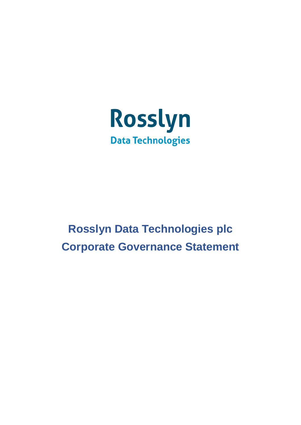

# **Rosslyn Data Technologies plc Corporate Governance Statement**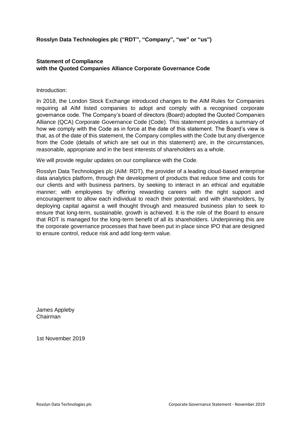**Rosslyn Data Technologies plc ("RDT", "Company", "we" or "us")**

# **Statement of Compliance with the Quoted Companies Alliance Corporate Governance Code**

## Introduction:

In 2018, the London Stock Exchange introduced changes to the AIM Rules for Companies requiring all AIM listed companies to adopt and comply with a recognised corporate governance code. The Company's board of directors (Board) adopted the Quoted Companies Alliance (QCA) Corporate Governance Code (Code). This statement provides a summary of how we comply with the Code as in force at the date of this statement. The Board's view is that, as of the date of this statement, the Company complies with the Code but any divergence from the Code (details of which are set out in this statement) are, in the circumstances, reasonable, appropriate and in the best interests of shareholders as a whole.

We will provide regular updates on our compliance with the Code.

Rosslyn Data Technologies plc (AIM: RDT), the provider of a leading cloud-based enterprise data analytics platform, through the development of products that reduce time and costs for our clients and with business partners, by seeking to interact in an ethical and equitable manner; with employees by offering rewarding careers with the right support and encouragement to allow each individual to reach their potential; and with shareholders, by deploying capital against a well thought through and measured business plan to seek to ensure that long-term, sustainable, growth is achieved. It is the role of the Board to ensure that RDT is managed for the long-term benefit of all its shareholders. Underpinning this are the corporate governance processes that have been put in place since IPO that are designed to ensure control, reduce risk and add long-term value.

James Appleby Chairman

1st November 2019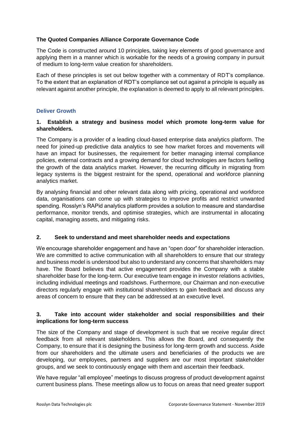## **The Quoted Companies Alliance Corporate Governance Code**

The Code is constructed around 10 principles, taking key elements of good governance and applying them in a manner which is workable for the needs of a growing company in pursuit of medium to long-term value creation for shareholders.

Each of these principles is set out below together with a commentary of RDT's compliance. To the extent that an explanation of RDT's compliance set out against a principle is equally as relevant against another principle, the explanation is deemed to apply to all relevant principles.

# **Deliver Growth**

## **1. Establish a strategy and business model which promote long-term value for shareholders.**

The Company is a provider of a leading cloud-based enterprise data analytics platform. The need for joined-up predictive data analytics to see how market forces and movements will have an impact for businesses, the requirement for better managing internal compliance policies, external contracts and a growing demand for cloud technologies are factors fuelling the growth of the data analytics market. However, the recurring difficulty in migrating from legacy systems is the biggest restraint for the spend, operational and workforce planning analytics market.

By analysing financial and other relevant data along with pricing, operational and workforce data, organisations can come up with strategies to improve profits and restrict unwanted spending. Rosslyn's RAPid analytics platform provides a solution to measure and standardise performance, monitor trends, and optimise strategies, which are instrumental in allocating capital, managing assets, and mitigating risks.

## **2. Seek to understand and meet shareholder needs and expectations**

We encourage shareholder engagement and have an "open door" for shareholder interaction. We are committed to active communication with all shareholders to ensure that our strategy and business model is understood but also to understand any concerns that shareholders may have. The Board believes that active engagement provides the Company with a stable shareholder base for the long-term. Our executive team engage in investor relations activities, including individual meetings and roadshows. Furthermore, our Chairman and non-executive directors regularly engage with institutional shareholders to gain feedback and discuss any areas of concern to ensure that they can be addressed at an executive level.

# **3. Take into account wider stakeholder and social responsibilities and their implications for long-term success**

The size of the Company and stage of development is such that we receive regular direct feedback from all relevant stakeholders. This allows the Board, and consequently the Company, to ensure that it is designing the business for long-term growth and success. Aside from our shareholders and the ultimate users and beneficiaries of the products we are developing, our employees, partners and suppliers are our most important stakeholder groups, and we seek to continuously engage with them and ascertain their feedback.

We have regular "all employee" meetings to discuss progress of product development against current business plans. These meetings allow us to focus on areas that need greater support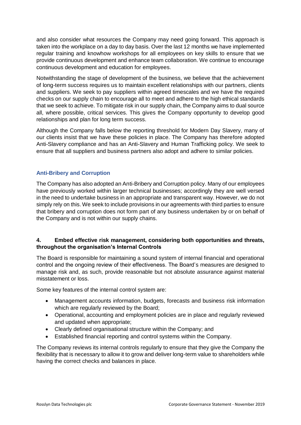and also consider what resources the Company may need going forward. This approach is taken into the workplace on a day to day basis. Over the last 12 months we have implemented regular training and knowhow workshops for all employees on key skills to ensure that we provide continuous development and enhance team collaboration. We continue to encourage continuous development and education for employees.

Notwithstanding the stage of development of the business, we believe that the achievement of long-term success requires us to maintain excellent relationships with our partners, clients and suppliers. We seek to pay suppliers within agreed timescales and we have the required checks on our supply chain to encourage all to meet and adhere to the high ethical standards that we seek to achieve. To mitigate risk in our supply chain, the Company aims to dual source all, where possible, critical services. This gives the Company opportunity to develop good relationships and plan for long term success.

Although the Company falls below the reporting threshold for Modern Day Slavery, many of our clients insist that we have these policies in place. The Company has therefore adopted Anti-Slavery compliance and has an Anti-Slavery and Human Trafficking policy. We seek to ensure that all suppliers and business partners also adopt and adhere to similar policies.

# **Anti-Bribery and Corruption**

The Company has also adopted an Anti-Bribery and Corruption policy. Many of our employees have previously worked within larger technical businesses; accordingly they are well versed in the need to undertake business in an appropriate and transparent way. However, we do not simply rely on this. We seek to include provisions in our agreements with third parties to ensure that bribery and corruption does not form part of any business undertaken by or on behalf of the Company and is not within our supply chains.

## **4. Embed effective risk management, considering both opportunities and threats, throughout the organisation's Internal Controls**

The Board is responsible for maintaining a sound system of internal financial and operational control and the ongoing review of their effectiveness. The Board's measures are designed to manage risk and, as such, provide reasonable but not absolute assurance against material misstatement or loss.

Some key features of the internal control system are:

- Management accounts information, budgets, forecasts and business risk information which are regularly reviewed by the Board;
- Operational, accounting and employment policies are in place and regularly reviewed and updated when appropriate;
- Clearly defined organisational structure within the Company; and
- Established financial reporting and control systems within the Company.

The Company reviews its internal controls regularly to ensure that they give the Company the flexibility that is necessary to allow it to grow and deliver long-term value to shareholders while having the correct checks and balances in place.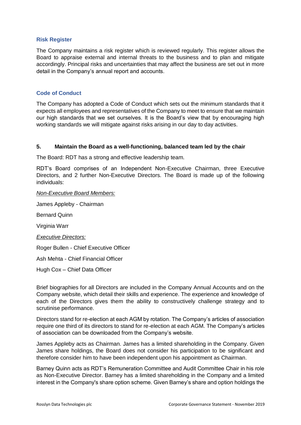#### **Risk Register**

The Company maintains a risk register which is reviewed regularly. This register allows the Board to appraise external and internal threats to the business and to plan and mitigate accordingly. Principal risks and uncertainties that may affect the business are set out in more detail in the Company's annual report and accounts.

## **Code of Conduct**

The Company has adopted a Code of Conduct which sets out the minimum standards that it expects all employees and representatives of the Company to meet to ensure that we maintain our high standards that we set ourselves. It is the Board's view that by encouraging high working standards we will mitigate against risks arising in our day to day activities.

## **5. Maintain the Board as a well-functioning, balanced team led by the chair**

The Board: RDT has a strong and effective leadership team.

RDT's Board comprises of an Independent Non-Executive Chairman, three Executive Directors, and 2 further Non-Executive Directors. The Board is made up of the following individuals:

#### *Non-Executive Board Members:*

James Appleby - Chairman

Bernard Quinn

Virginia Warr

#### *Executive Directors:*

Roger Bullen - Chief Executive Officer

Ash Mehta - Chief Financial Officer

Hugh Cox – Chief Data Officer

Brief biographies for all Directors are included in the Company Annual Accounts and on the Company website, which detail their skills and experience. The experience and knowledge of each of the Directors gives them the ability to constructively challenge strategy and to scrutinise performance.

Directors stand for re-election at each AGM by rotation. The Company's articles of association require one third of its directors to stand for re-election at each AGM. The Company's articles of association can be downloaded from the Company's website.

James Appleby acts as Chairman. James has a limited shareholding in the Company. Given James share holdings, the Board does not consider his participation to be significant and therefore consider him to have been independent upon his appointment as Chairman.

Barney Quinn acts as RDT's Remuneration Committee and Audit Committee Chair in his role as Non-Executive Director. Barney has a limited shareholding in the Company and a limited interest in the Company's share option scheme. Given Barney's share and option holdings the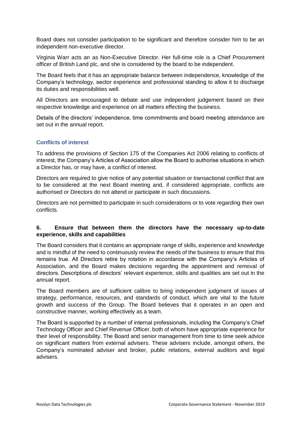Board does not consider participation to be significant and therefore consider him to be an independent non-executive director.

Virginia Warr acts an as Non-Executive Director. Her full-time role is a Chief Procurement officer of British Land plc, and she is considered by the board to be independent.

The Board feels that it has an appropriate balance between independence, knowledge of the Company's technology, sector experience and professional standing to allow it to discharge its duties and responsibilities well.

All Directors are encouraged to debate and use independent judgement based on their respective knowledge and experience on all matters effecting the business.

Details of the directors' independence, time commitments and board meeting attendance are set out in the annual report.

## **Conflicts of interest**

To address the provisions of Section 175 of the Companies Act 2006 relating to conflicts of interest, the Company's Articles of Association allow the Board to authorise situations in which a Director has, or may have, a conflict of interest.

Directors are required to give notice of any potential situation or transactional conflict that are to be considered at the next Board meeting and, if considered appropriate, conflicts are authorised or Directors do not attend or participate in such discussions.

Directors are not permitted to participate in such considerations or to vote regarding their own conflicts.

## **6. Ensure that between them the directors have the necessary up-to-date experience, skills and capabilities**

The Board considers that it contains an appropriate range of skills, experience and knowledge and is mindful of the need to continuously review the needs of the business to ensure that this remains true. All Directors retire by rotation in accordance with the Company's Articles of Association, and the Board makes decisions regarding the appointment and removal of directors. Descriptions of directors' relevant experience, skills and qualities are set out in the annual report.

The Board members are of sufficient calibre to bring independent judgment of issues of strategy, performance, resources, and standards of conduct, which are vital to the future growth and success of the Group. The Board believes that it operates in an open and constructive manner, working effectively as a team.

The Board is supported by a number of internal professionals, including the Company's Chief Technology Officer and Chief Revenue Officer, both of whom have appropriate experience for their level of responsibility. The Board and senior management from time to time seek advice on significant matters from external advisers. These advisers include, amongst others, the Company's nominated adviser and broker, public relations, external auditors and legal advisers.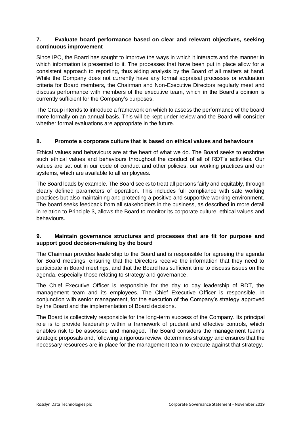## **7. Evaluate board performance based on clear and relevant objectives, seeking continuous improvement**

Since IPO, the Board has sought to improve the ways in which it interacts and the manner in which information is presented to it. The processes that have been put in place allow for a consistent approach to reporting, thus aiding analysis by the Board of all matters at hand. While the Company does not currently have any formal appraisal processes or evaluation criteria for Board members, the Chairman and Non-Executive Directors regularly meet and discuss performance with members of the executive team, which in the Board's opinion is currently sufficient for the Company's purposes.

The Group intends to introduce a framework on which to assess the performance of the board more formally on an annual basis. This will be kept under review and the Board will consider whether formal evaluations are appropriate in the future.

## **8. Promote a corporate culture that is based on ethical values and behaviours**

Ethical values and behaviours are at the heart of what we do. The Board seeks to enshrine such ethical values and behaviours throughout the conduct of all of RDT's activities. Our values are set out in our code of conduct and other policies, our working practices and our systems, which are available to all employees.

The Board leads by example. The Board seeks to treat all persons fairly and equitably, through clearly defined parameters of operation. This includes full compliance with safe working practices but also maintaining and protecting a positive and supportive working environment. The board seeks feedback from all stakeholders in the business, as described in more detail in relation to Principle 3, allows the Board to monitor its corporate culture, ethical values and behaviours.

# **9. Maintain governance structures and processes that are fit for purpose and support good decision-making by the board**

The Chairman provides leadership to the Board and is responsible for agreeing the agenda for Board meetings, ensuring that the Directors receive the information that they need to participate in Board meetings, and that the Board has sufficient time to discuss issues on the agenda, especially those relating to strategy and governance.

The Chief Executive Officer is responsible for the day to day leadership of RDT, the management team and its employees. The Chief Executive Officer is responsible, in conjunction with senior management, for the execution of the Company's strategy approved by the Board and the implementation of Board decisions.

The Board is collectively responsible for the long-term success of the Company. Its principal role is to provide leadership within a framework of prudent and effective controls, which enables risk to be assessed and managed. The Board considers the management team's strategic proposals and, following a rigorous review, determines strategy and ensures that the necessary resources are in place for the management team to execute against that strategy.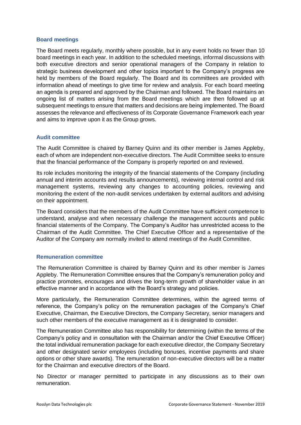#### **Board meetings**

The Board meets regularly, monthly where possible, but in any event holds no fewer than 10 board meetings in each year. In addition to the scheduled meetings, informal discussions with both executive directors and senior operational managers of the Company in relation to strategic business development and other topics important to the Company's progress are held by members of the Board regularly. The Board and its committees are provided with information ahead of meetings to give time for review and analysis. For each board meeting an agenda is prepared and approved by the Chairman and followed. The Board maintains an ongoing list of matters arising from the Board meetings which are then followed up at subsequent meetings to ensure that matters and decisions are being implemented. The Board assesses the relevance and effectiveness of its Corporate Governance Framework each year and aims to improve upon it as the Group grows.

## **Audit committee**

The Audit Committee is chaired by Barney Quinn and its other member is James Appleby, each of whom are independent non-executive directors. The Audit Committee seeks to ensure that the financial performance of the Company is properly reported on and reviewed.

Its role includes monitoring the integrity of the financial statements of the Company (including annual and interim accounts and results announcements), reviewing internal control and risk management systems, reviewing any changes to accounting policies, reviewing and monitoring the extent of the non-audit services undertaken by external auditors and advising on their appointment.

The Board considers that the members of the Audit Committee have sufficient competence to understand, analyse and when necessary challenge the management accounts and public financial statements of the Company. The Company's Auditor has unrestricted access to the Chairman of the Audit Committee. The Chief Executive Officer and a representative of the Auditor of the Company are normally invited to attend meetings of the Audit Committee.

#### **Remuneration committee**

The Remuneration Committee is chaired by Barney Quinn and its other member is James Appleby. The Remuneration Committee ensures that the Company's remuneration policy and practice promotes, encourages and drives the long-term growth of shareholder value in an effective manner and in accordance with the Board's strategy and policies.

More particularly, the Remuneration Committee determines, within the agreed terms of reference, the Company's policy on the remuneration packages of the Company's Chief Executive, Chairman, the Executive Directors, the Company Secretary, senior managers and such other members of the executive management as it is designated to consider.

The Remuneration Committee also has responsibility for determining (within the terms of the Company's policy and in consultation with the Chairman and/or the Chief Executive Officer) the total individual remuneration package for each executive director, the Company Secretary and other designated senior employees (including bonuses, incentive payments and share options or other share awards). The remuneration of non-executive directors will be a matter for the Chairman and executive directors of the Board.

No Director or manager permitted to participate in any discussions as to their own remuneration.